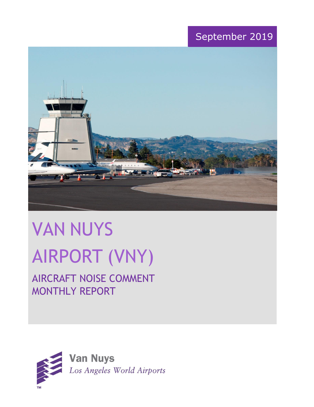## September 2019



# VAN NUYS AIRPORT (VNY)

# AIRCRAFT NOISE COMMENT MONTHLY REPORT

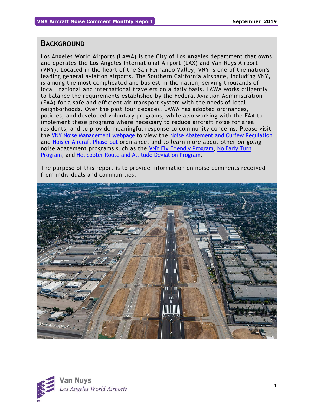## **BACKGROUND**

Los Angeles World Airports (LAWA) is the City of Los Angeles department that owns and operates the Los Angeles International Airport (LAX) and Van Nuys Airport (VNY). Located in the heart of the San Fernando Valley, VNY is one of the nation's leading general aviation airports. The Southern California airspace, including VNY, is among the most complicated and busiest in the nation, serving thousands of local, national and international travelers on a daily basis. LAWA works diligently to balance the requirements established by the Federal Aviation Administration (FAA) for a safe and efficient air transport system with the needs of local neighborhoods. Over the past four decades, LAWA has adopted ordinances, policies, and developed voluntary programs, while also working with the FAA to implement these programs where necessary to reduce aircraft noise for area residents, and to provide meaningful response to community concerns. Please visit the [VNY Noise Management webpage](http://www.lawa.org/VNYNoise) to view the [Noise Abatement and Curfew Regulation](https://www.lawa.org/-/media/lawa-web/tenants411/file/noise_programs.ashx?la=en&hash=86DDE7D9764689AC37E24CD4FAA33C7FE9FC8DA1#"page=7" ) and [Noisier Aircraft Phase-out](https://www.lawa.org/-/media/lawa-web/tenants411/file/noise_programs.ashx?la=en&hash=86DDE7D9764689AC37E24CD4FAA33C7FE9FC8DA1#page=7) ordinance, and to learn more about other *on-going* noise abatement programs such as the [VNY Fly Friendly Program,](https://www.lawa.org/en/lawa-environment/noise-management/van-nuys/vny-fly-friendly-quiet-departure-program) [No Early Turn](https://prodcd.iflyvny.com/en/no-early-turn)  [Program,](https://prodcd.iflyvny.com/en/no-early-turn) and [Helicopter Route and Altitude Deviation Program.](https://www.lawa.org/-/media/lawa-web/tenants411/file/noise_programs.ashx?la=en&hash=86DDE7D9764689AC37E24CD4FAA33C7FE9FC8DA1#"page=8")

The purpose of this report is to provide information on noise comments received from individuals and communities.



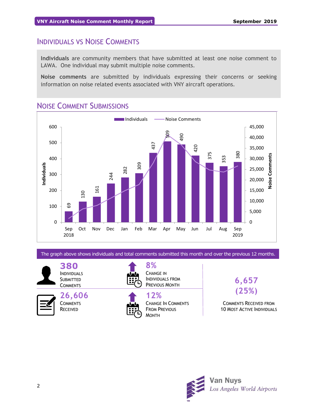## INDIVIDUALS VS NOISE COMMENTS

**Individuals** are community members that have submitted at least one noise comment to LAWA. One individual may submit multiple noise comments.

**Noise comments** are submitted by individuals expressing their concerns or seeking information on noise related events associated with VNY aircraft operations.



## NOISE COMMENT SUBMISSIONS

The graph above shows individuals and total comments submitted this month and over the previous 12 months.

**380** INDIVIDUALS **SUBMITTED COMMENTS** 

**26,606 COMMENTS** RECEIVED



**8%** CHANGE IN INDIVIDUALS FROM PREVIOUS MONTH



**6,657 (25%)**

COMMENTS RECEIVED FROM 10 MOST ACTIVE INDIVIDUALS

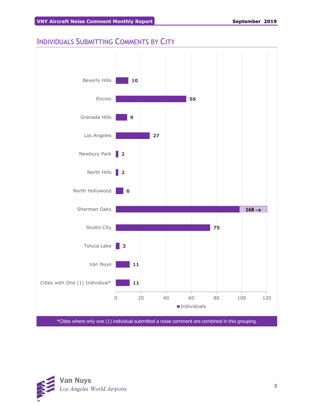## INDIVIDUALS SUBMITTING COMMENTS BY CITY



\*Cities where only one (1) individual submitted a noise comment are combined in this grouping.

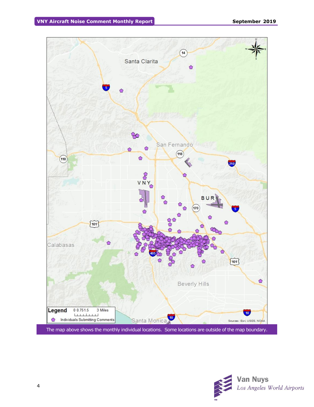

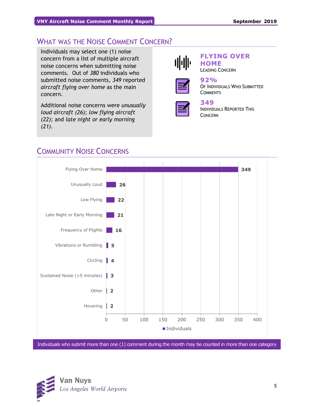## WHAT WAS THE NOISE COMMENT CONCERN?

Individuals may select one (1) noise concern from a list of multiple aircraft noise concerns when submitting noise comments. Out of *380* individuals who submitted noise comments, *349* reported *aircraft flying over home* as the main concern.

Additional noise concerns were *unusually loud aircraft (26); low flying aircraft (22);* and *late night or early morning (21)*.



#### **FLYING OVER HOME** LEADING CONCERN



#### **92%** OF INDIVIDUALS WHO SUBMITTED **COMMENTS**



## **349**

INDIVIDUALS REPORTED THIS CONCERN



## COMMUNITY NOISE CONCERNS